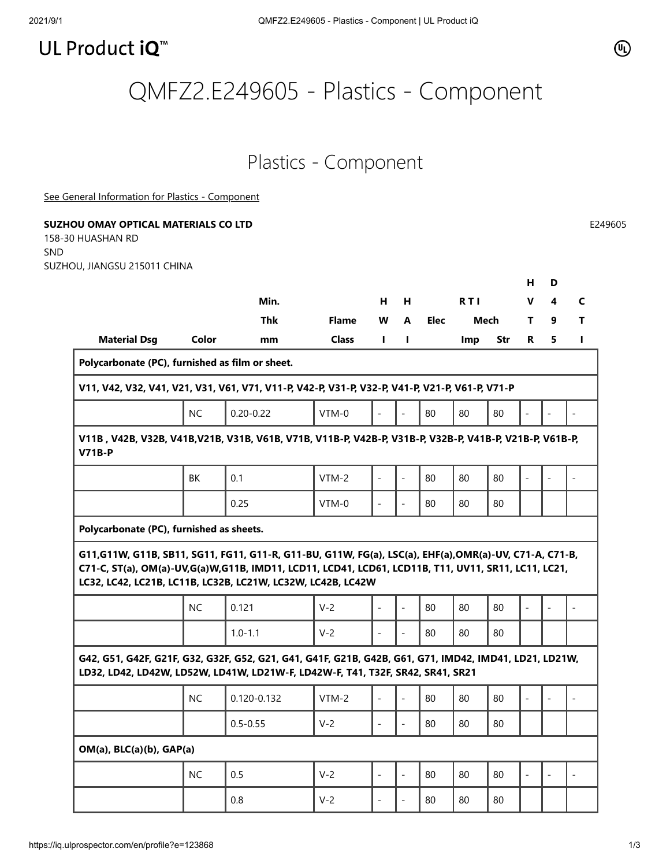## UL Product iQ<sup>™</sup>

## QMFZ2.E249605 - Plastics - Component

## Plastics - Component

[See General Information for Plastics - Component](https://iq.ulprospector.com/cgi-bin/XYV/template/LISEXT/1FRAME/showpage.html?&name=QMFZ2.GuideInfo&ccnshorttitle=Plastics+-+Component&objid=1073827223&cfgid=1073741824&version=versionless&parent_id=1073827222&sequence=1)

| SUZHOU, JIANGSU 215011 CHINA                                                                                                                                                                                                                                                  |           |               |              |                          |                          |             |            |            |                          |                          |                          |
|-------------------------------------------------------------------------------------------------------------------------------------------------------------------------------------------------------------------------------------------------------------------------------|-----------|---------------|--------------|--------------------------|--------------------------|-------------|------------|------------|--------------------------|--------------------------|--------------------------|
|                                                                                                                                                                                                                                                                               |           |               |              |                          |                          |             |            |            | н                        | D                        |                          |
|                                                                                                                                                                                                                                                                               |           | Min.          |              | н.                       | H                        |             | <b>RTI</b> |            | v                        | 4                        | $\mathsf{C}$             |
|                                                                                                                                                                                                                                                                               |           | <b>Thk</b>    | <b>Flame</b> | W                        | $\mathbf{A}$             | <b>Elec</b> | Mech       |            | T.                       | 9                        | T                        |
| <b>Material Dsg</b>                                                                                                                                                                                                                                                           | Color     | mm            | <b>Class</b> | Т.                       | L                        |             | Imp        | <b>Str</b> | R                        | 5                        | L.                       |
| Polycarbonate (PC), furnished as film or sheet.                                                                                                                                                                                                                               |           |               |              |                          |                          |             |            |            |                          |                          |                          |
| V11, V42, V32, V41, V21, V31, V61, V71, V11-P, V42-P, V31-P, V32-P, V41-P, V21-P, V61-P, V71-P                                                                                                                                                                                |           |               |              |                          |                          |             |            |            |                          |                          |                          |
|                                                                                                                                                                                                                                                                               | <b>NC</b> | $0.20 - 0.22$ | VTM-0        |                          | $\overline{\phantom{m}}$ | 80          | 80         | 80         |                          |                          |                          |
| V11B, V42B, V32B, V41B, V21B, V31B, V61B, V71B, V11B-P, V42B-P, V31B-P, V32B-P, V41B-P, V21B-P, V61B-P,<br><b>V71B-P</b>                                                                                                                                                      |           |               |              |                          |                          |             |            |            |                          |                          |                          |
|                                                                                                                                                                                                                                                                               | BK        | 0.1           | $VTM-2$      |                          | $\overline{a}$           | 80          | 80         | 80         | $\overline{\phantom{a}}$ |                          | $\overline{\phantom{a}}$ |
|                                                                                                                                                                                                                                                                               |           | 0.25          | $VTM-0$      |                          | $\overline{\phantom{0}}$ | 80          | 80         | 80         |                          |                          |                          |
|                                                                                                                                                                                                                                                                               |           |               |              |                          |                          |             |            |            |                          |                          |                          |
| Polycarbonate (PC), furnished as sheets.                                                                                                                                                                                                                                      |           |               |              |                          |                          |             |            |            |                          |                          |                          |
| G11,G11W, G11B, SB11, SG11, FG11, G11-R, G11-BU, G11W, FG(a), LSC(a), EHF(a),OMR(a)-UV, C71-A, C71-B,<br>C71-C, ST(a), OM(a)-UV, G(a)W, G11B, IMD11, LCD11, LCD41, LCD61, LCD11B, T11, UV11, SR11, LC11, LC21,<br>LC32, LC42, LC21B, LC11B, LC32B, LC21W, LC32W, LC42B, LC42W |           |               |              |                          |                          |             |            |            |                          |                          |                          |
|                                                                                                                                                                                                                                                                               | <b>NC</b> | 0.121         | $V-2$        |                          | $\blacksquare$           | 80          | 80         | 80         | $\overline{\phantom{a}}$ |                          | $\overline{\phantom{a}}$ |
|                                                                                                                                                                                                                                                                               |           | $1.0 - 1.1$   | $V-2$        |                          | $\overline{a}$           | 80          | 80         | 80         |                          |                          |                          |
| G42, G51, G42F, G21F, G32, G32F, G52, G21, G41, G41F, G21B, G42B, G61, G71, IMD42, IMD41, LD21, LD21W,<br>LD32, LD42, LD42W, LD52W, LD41W, LD21W-F, LD42W-F, T41, T32F, SR42, SR41, SR21                                                                                      |           |               |              |                          |                          |             |            |            |                          |                          |                          |
|                                                                                                                                                                                                                                                                               | <b>NC</b> | 0.120-0.132   | $VTM-2$      |                          |                          | 80          | 80         | 80         |                          |                          |                          |
|                                                                                                                                                                                                                                                                               |           | $0.5 - 0.55$  | $V-2$        | $\overline{\phantom{0}}$ | $\blacksquare$           | 80          | 80         | 80         |                          |                          |                          |
| OM(a), BLC(a)(b), GAP(a)                                                                                                                                                                                                                                                      |           |               |              |                          |                          |             |            |            |                          |                          |                          |
|                                                                                                                                                                                                                                                                               | NC        | 0.5           | $V-2$        | $\overline{\phantom{0}}$ | $\frac{1}{2}$            | 80          | 80         | 80         | $\bar{\phantom{a}}$      | $\overline{\phantom{a}}$ | $\overline{\phantom{a}}$ |

 $\circledR$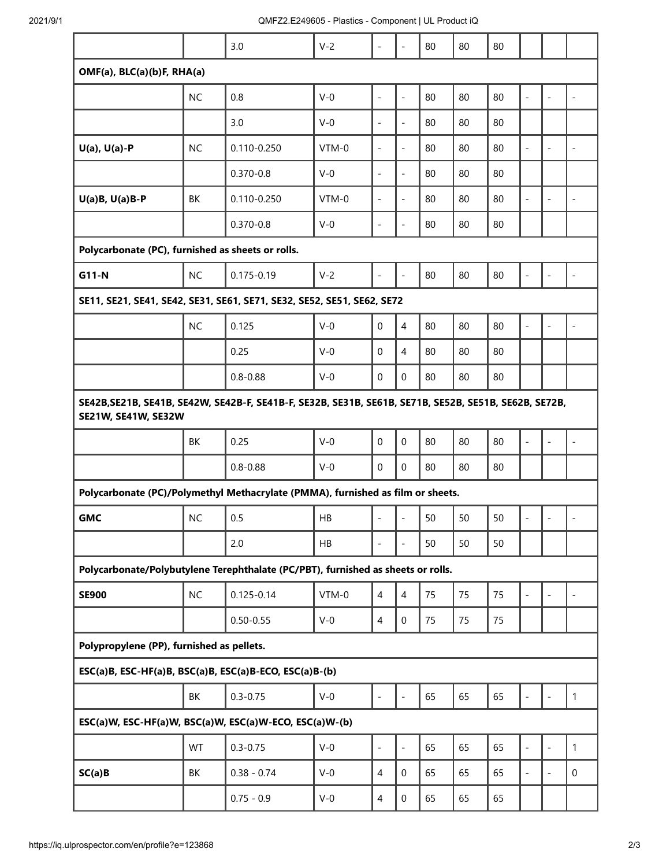|                                                                                                                                     |           | 3.0             | $V-2$   | $\overline{\phantom{0}}$     | $\overline{\phantom{a}}$ | 80 | 80 | 80 |                          |                          |                          |  |  |
|-------------------------------------------------------------------------------------------------------------------------------------|-----------|-----------------|---------|------------------------------|--------------------------|----|----|----|--------------------------|--------------------------|--------------------------|--|--|
| OMF(a), BLC(a)(b)F, RHA(a)                                                                                                          |           |                 |         |                              |                          |    |    |    |                          |                          |                          |  |  |
|                                                                                                                                     | <b>NC</b> | 0.8             | $V-0$   | $\frac{1}{2}$                | $\overline{\phantom{a}}$ | 80 | 80 | 80 | $\overline{\phantom{a}}$ | $\overline{\phantom{a}}$ | $\overline{\phantom{a}}$ |  |  |
|                                                                                                                                     |           | 3.0             | $V-0$   | $\qquad \qquad \blacksquare$ | $\overline{\phantom{a}}$ | 80 | 80 | 80 |                          |                          |                          |  |  |
| $U(a)$ , $U(a)$ -P                                                                                                                  | <b>NC</b> | $0.110 - 0.250$ | VTM-0   | $\overline{a}$               | $\overline{\phantom{a}}$ | 80 | 80 | 80 | $\overline{\phantom{a}}$ | $\overline{a}$           | $\overline{a}$           |  |  |
|                                                                                                                                     |           | $0.370 - 0.8$   | $V-0$   | $\overline{a}$               | $\overline{\phantom{a}}$ | 80 | 80 | 80 |                          |                          |                          |  |  |
| $U(a)B, U(a)B-P$                                                                                                                    | BK        | $0.110 - 0.250$ | $VTM-0$ | $\overline{\phantom{a}}$     | $\overline{\phantom{a}}$ | 80 | 80 | 80 | $\overline{a}$           | $\overline{\phantom{a}}$ | $\overline{\phantom{0}}$ |  |  |
|                                                                                                                                     |           | $0.370 - 0.8$   | $V-0$   | $\qquad \qquad \blacksquare$ | $\overline{\phantom{a}}$ | 80 | 80 | 80 |                          |                          |                          |  |  |
| Polycarbonate (PC), furnished as sheets or rolls.                                                                                   |           |                 |         |                              |                          |    |    |    |                          |                          |                          |  |  |
| G11-N                                                                                                                               | <b>NC</b> | $0.175 - 0.19$  | $V-2$   |                              | $\overline{\phantom{a}}$ | 80 | 80 | 80 | $\overline{\phantom{a}}$ | $\overline{\phantom{a}}$ |                          |  |  |
| SE11, SE21, SE41, SE42, SE31, SE61, SE71, SE32, SE52, SE51, SE62, SE72                                                              |           |                 |         |                              |                          |    |    |    |                          |                          |                          |  |  |
|                                                                                                                                     | <b>NC</b> | 0.125           | $V-0$   | $\mathbf 0$                  | 4                        | 80 | 80 | 80 | $\overline{\phantom{a}}$ | $\overline{\phantom{a}}$ |                          |  |  |
|                                                                                                                                     |           | 0.25            | $V-0$   | $\Omega$                     | 4                        | 80 | 80 | 80 |                          |                          |                          |  |  |
|                                                                                                                                     |           | $0.8 - 0.88$    | $V-0$   | $\mathbf 0$                  | $\Omega$                 | 80 | 80 | 80 |                          |                          |                          |  |  |
| SE42B, SE21B, SE41B, SE42W, SE42B-F, SE41B-F, SE32B, SE31B, SE61B, SE71B, SE52B, SE51B, SE62B, SE72B,<br><b>SE21W, SE41W, SE32W</b> |           |                 |         |                              |                          |    |    |    |                          |                          |                          |  |  |
|                                                                                                                                     | BK        | 0.25            | $V-0$   | $\mathbf 0$                  | $\mathbf 0$              | 80 | 80 | 80 | $\overline{\phantom{a}}$ | $\overline{\phantom{a}}$ |                          |  |  |
|                                                                                                                                     |           | $0.8 - 0.88$    | $V-0$   | 0                            | $\mathbf 0$              | 80 | 80 | 80 |                          |                          |                          |  |  |
| Polycarbonate (PC)/Polymethyl Methacrylate (PMMA), furnished as film or sheets.                                                     |           |                 |         |                              |                          |    |    |    |                          |                          |                          |  |  |
| <b>GMC</b>                                                                                                                          | NC        | 0.5             | HB      |                              |                          | 50 | 50 | 50 |                          |                          |                          |  |  |
|                                                                                                                                     |           | 2.0             | HB      | $\overline{\phantom{m}}$     |                          | 50 | 50 | 50 |                          |                          |                          |  |  |
| Polycarbonate/Polybutylene Terephthalate (PC/PBT), furnished as sheets or rolls.                                                    |           |                 |         |                              |                          |    |    |    |                          |                          |                          |  |  |
| <b>SE900</b>                                                                                                                        | NC        | $0.125 - 0.14$  | VTM-0   | $\overline{4}$               | $\overline{4}$           | 75 | 75 | 75 | $\frac{1}{2}$            | $\overline{a}$           |                          |  |  |
|                                                                                                                                     |           | $0.50 - 0.55$   | $V-0$   | 4                            | $\mathbf 0$              | 75 | 75 | 75 |                          |                          |                          |  |  |
| Polypropylene (PP), furnished as pellets.                                                                                           |           |                 |         |                              |                          |    |    |    |                          |                          |                          |  |  |
| ESC(a)B, ESC-HF(a)B, BSC(a)B, ESC(a)B-ECO, ESC(a)B-(b)                                                                              |           |                 |         |                              |                          |    |    |    |                          |                          |                          |  |  |
|                                                                                                                                     | BK        | $0.3 - 0.75$    | $V-0$   | $\frac{1}{2}$                | $\overline{\phantom{a}}$ | 65 | 65 | 65 | $\Box$                   | $\bar{\phantom{a}}$      | $\mathbf{1}$             |  |  |
| ESC(a)W, ESC-HF(a)W, BSC(a)W, ESC(a)W-ECO, ESC(a)W-(b)                                                                              |           |                 |         |                              |                          |    |    |    |                          |                          |                          |  |  |
|                                                                                                                                     | WT        | $0.3 - 0.75$    | $V-0$   | $\qquad \qquad -$            | $\overline{\phantom{a}}$ | 65 | 65 | 65 | $\Box$                   | $\blacksquare$           | 1                        |  |  |
| SC(a)B                                                                                                                              | BK        | $0.38 - 0.74$   | $V-0$   | $\overline{4}$               | $\mathbf 0$              | 65 | 65 | 65 | $\overline{\phantom{a}}$ | $\overline{\phantom{a}}$ | $\mathbf 0$              |  |  |
|                                                                                                                                     |           | $0.75 - 0.9$    | $V-0$   | 4                            | $\mathsf{O}\xspace$      | 65 | 65 | 65 |                          |                          |                          |  |  |